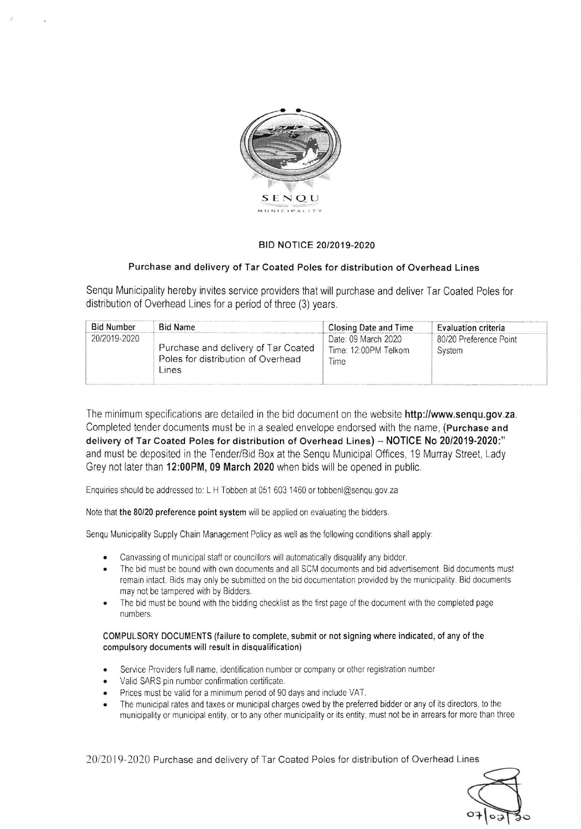

## BID NOTICE 20/2019-2020

## Purchase and delivery of Tar Coated Poles for distribution of Overhead Lines

Senqu Municipality hereby invites service providers that will purchase and deliver Tar Coated Poles for distribution of Overhead Lines for a period of three (3) years,

| <b>Bid Number</b> | <b>Bid Name</b>                                                                    | Closing Date and Time                               | Evaluation criteria              |
|-------------------|------------------------------------------------------------------------------------|-----------------------------------------------------|----------------------------------|
| 20/2019-2020      | Purchase and delivery of Tar Coated<br>Poles for distribution of Overhead<br>Lines | Date: 09 March 2020<br>Time: 12:00PM Telkom<br>Time | 80/20 Preference Point<br>System |

The minimum specifications are detailed in the bid document on the website http://www.senqu.gov.za. Completed tender documents must be in a sealed envelope endorsed with the name, (Purchase and delivery of Tar Coated Poles for distribution of Overhead Lines) - NOTICE No 20/2019-2020:" and must be deposited in the Tender/Bid Box at the Sengu Municipal Offices, 19 Murray Street, Lady Grey not later than 12:00PM, 09 March 2020 when bids will be opened in public.

Enquiries should be addressed to: L H Tobben at 051 603 1460 or tobbenl@senqu.gov.za

Note that the 80/20 preference point system will be applied on evaluating the bidders.

Senqu Municipality Supply Chain Management Policy as well as the following conditions shall apply:

- Canvassing of municipal staff or councillors will automatically disqualify any bidder.
- The bid must be bound with own documents and all SCM documents and bid advertisement. Bid documents must  $\bullet$ remain intact. Bids may only be submitted on the bid documentation provided by the municipality. Bid documents may not be tampered with by Bidders
- The bid must be bound with the bidding checklist as the first page of the document with the completed page numbers.

COMPULSORY DOCUMENTS (failure to complete, submit or not signing where indicated, of any of the compulsory documents will result in disqualification)

- Service Providers full name, identification number or company or other registration number
- Valid SARS pin number confirmation certificate.  $\bullet$
- Prices must be valid for a minimum period of 90 days and include VAT.  $\bullet$
- The municipai rates and taxes or municipal charges owed by the preferred bidder 0r any of its directors, to the municipality or municipal entity, or to any other municipality or its entity, must not be in arrears for more than three

20/201 9-2020 Purchase and delivery of Tar Coated Poles for distribution of Overhead Lines